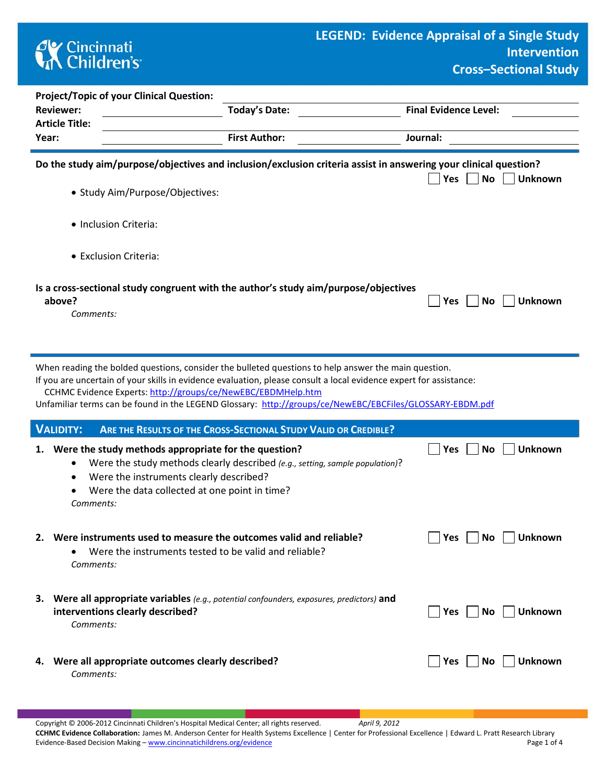## **AX** Cincinnati<br> **Children's**

| <b>Project/Topic of your Clinical Question:</b>                                                                                                                                                                                                                                                                                                                                                        |                                                                                                                                                  |                                                                                     |                                     |  |  |  |  |  |  |  |
|--------------------------------------------------------------------------------------------------------------------------------------------------------------------------------------------------------------------------------------------------------------------------------------------------------------------------------------------------------------------------------------------------------|--------------------------------------------------------------------------------------------------------------------------------------------------|-------------------------------------------------------------------------------------|-------------------------------------|--|--|--|--|--|--|--|
| <b>Reviewer:</b>                                                                                                                                                                                                                                                                                                                                                                                       |                                                                                                                                                  | <b>Final Evidence Level:</b>                                                        |                                     |  |  |  |  |  |  |  |
| <b>Article Title:</b><br>Year:                                                                                                                                                                                                                                                                                                                                                                         |                                                                                                                                                  | Journal:                                                                            |                                     |  |  |  |  |  |  |  |
|                                                                                                                                                                                                                                                                                                                                                                                                        |                                                                                                                                                  | <b>First Author:</b>                                                                |                                     |  |  |  |  |  |  |  |
| Do the study aim/purpose/objectives and inclusion/exclusion criteria assist in answering your clinical question?<br>$ $ No<br>  Yes<br><b>Unknown</b>                                                                                                                                                                                                                                                  |                                                                                                                                                  |                                                                                     |                                     |  |  |  |  |  |  |  |
|                                                                                                                                                                                                                                                                                                                                                                                                        | • Study Aim/Purpose/Objectives:                                                                                                                  |                                                                                     |                                     |  |  |  |  |  |  |  |
|                                                                                                                                                                                                                                                                                                                                                                                                        | · Inclusion Criteria:                                                                                                                            |                                                                                     |                                     |  |  |  |  |  |  |  |
| • Exclusion Criteria:                                                                                                                                                                                                                                                                                                                                                                                  |                                                                                                                                                  |                                                                                     |                                     |  |  |  |  |  |  |  |
| above?<br>Comments:                                                                                                                                                                                                                                                                                                                                                                                    |                                                                                                                                                  | Is a cross-sectional study congruent with the author's study aim/purpose/objectives | <b>No</b><br><b>Unknown</b><br> Yes |  |  |  |  |  |  |  |
| When reading the bolded questions, consider the bulleted questions to help answer the main question.<br>If you are uncertain of your skills in evidence evaluation, please consult a local evidence expert for assistance:<br>CCHMC Evidence Experts: http://groups/ce/NewEBC/EBDMHelp.htm<br>Unfamiliar terms can be found in the LEGEND Glossary: http://groups/ce/NewEBC/EBCFiles/GLOSSARY-EBDM.pdf |                                                                                                                                                  |                                                                                     |                                     |  |  |  |  |  |  |  |
| <b>VALIDITY:</b>                                                                                                                                                                                                                                                                                                                                                                                       |                                                                                                                                                  | ARE THE RESULTS OF THE CROSS-SECTIONAL STUDY VALID OR CREDIBLE?                     |                                     |  |  |  |  |  |  |  |
| 1.<br>Comments:                                                                                                                                                                                                                                                                                                                                                                                        | Were the study methods appropriate for the question?<br>Were the instruments clearly described?<br>Were the data collected at one point in time? | Were the study methods clearly described (e.g., setting, sample population)?        | <b>No</b><br><b>Unknown</b><br>Yes  |  |  |  |  |  |  |  |
|                                                                                                                                                                                                                                                                                                                                                                                                        | Were the instruments tested to be valid and reliable?                                                                                            | 2. Were instruments used to measure the outcomes valid and reliable?                | Yes<br><b>No</b><br><b>Unknown</b>  |  |  |  |  |  |  |  |

*Comments:* 

- **3. Were all appropriate variables** *(e.g., potential confounders, exposures, predictors)* **and interventions clearly described?** *CONDERGY* **CONDERGY CONDERGY CONDERGY CONDERGY CONDERGY CONDERGY CONDERGY CONDERGY CONDERGY CONDERGY CONDERGY CONDERGY CONDERGY CONDERGY CONDERGY CONDERGY** *Comments:*
- **4.** Were all appropriate outcomes clearly described? **We Unknown** Des No Unknown *Comments:*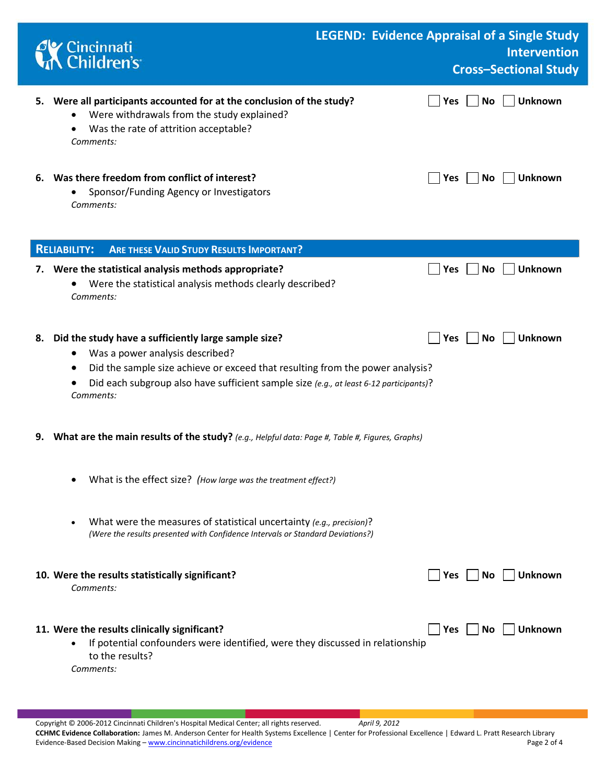|    | Cincinnati<br>A Children's                                                                                                                                                                                                                                                                   | <b>LEGEND: Evidence Appraisal of a Single Study</b> |                  | <b>Intervention</b><br><b>Cross-Sectional Study</b> |
|----|----------------------------------------------------------------------------------------------------------------------------------------------------------------------------------------------------------------------------------------------------------------------------------------------|-----------------------------------------------------|------------------|-----------------------------------------------------|
| 5. | Were all participants accounted for at the conclusion of the study?<br>Were withdrawals from the study explained?<br>Was the rate of attrition acceptable?<br>Comments:                                                                                                                      |                                                     | No<br><b>Yes</b> | Unknown                                             |
|    | 6. Was there freedom from conflict of interest?<br>Sponsor/Funding Agency or Investigators<br>Comments:                                                                                                                                                                                      |                                                     | <b>Yes</b><br>No | Unknown                                             |
|    | <b>RELIABILITY:</b><br><b>ARE THESE VALID STUDY RESULTS IMPORTANT?</b>                                                                                                                                                                                                                       |                                                     |                  |                                                     |
| 7. | Were the statistical analysis methods appropriate?<br>Were the statistical analysis methods clearly described?<br>Comments:                                                                                                                                                                  |                                                     | Yes<br>No        | <b>Unknown</b>                                      |
| 8. | Did the study have a sufficiently large sample size?<br>Was a power analysis described?<br>Did the sample size achieve or exceed that resulting from the power analysis?<br>$\bullet$<br>Did each subgroup also have sufficient sample size (e.g., at least 6-12 participants)?<br>Comments: |                                                     | Yes<br>No        | Unknown                                             |
| 9. | What are the main results of the study? (e.g., Helpful data: Page #, Table #, Figures, Graphs)                                                                                                                                                                                               |                                                     |                  |                                                     |
|    | What is the effect size? (How large was the treatment effect?)                                                                                                                                                                                                                               |                                                     |                  |                                                     |
|    | What were the measures of statistical uncertainty (e.g., precision)?<br>$\bullet$<br>(Were the results presented with Confidence Intervals or Standard Deviations?)                                                                                                                          |                                                     |                  |                                                     |
|    | 10. Were the results statistically significant?<br>Comments:                                                                                                                                                                                                                                 |                                                     | Yes<br>No        | <b>Unknown</b>                                      |
|    | 11. Were the results clinically significant?<br>If potential confounders were identified, were they discussed in relationship<br>$\bullet$<br>to the results?<br>Comments:                                                                                                                   |                                                     | Yes <br>No       | <b>Unknown</b>                                      |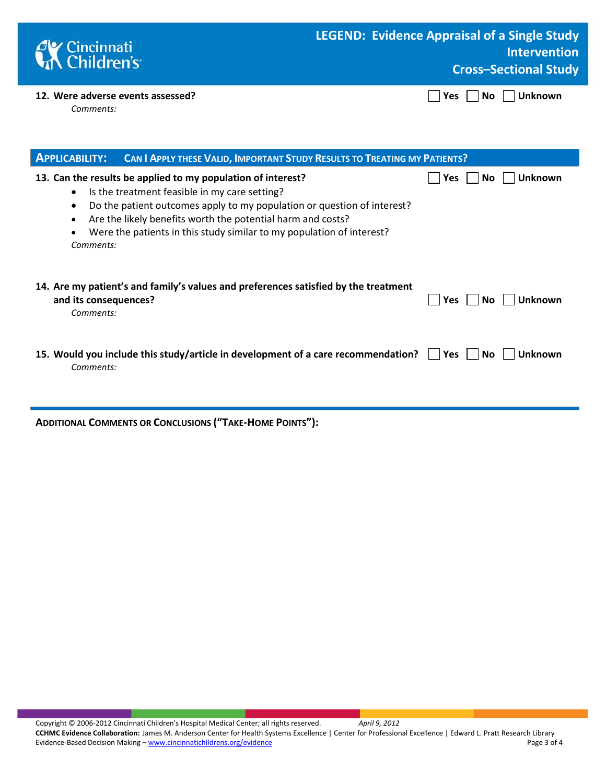| <b>C</b> Cincinnati<br><b>Children's</b>       | LEGEND: Evidence Appraisal of a Single Study<br><b>Intervention</b><br><b>Cross-Sectional Study</b> |
|------------------------------------------------|-----------------------------------------------------------------------------------------------------|
| 12. Were adverse events assessed?<br>Comments: | $\Box$ Yes $\Box$ No $\Box$ Unknown                                                                 |

| <b>APPLICABILITY:</b><br><b>CAN I APPLY THESE VALID, IMPORTANT STUDY RESULTS TO TREATING MY PATIENTS?</b>                                                                                                                                                                                                                                                  |                              |
|------------------------------------------------------------------------------------------------------------------------------------------------------------------------------------------------------------------------------------------------------------------------------------------------------------------------------------------------------------|------------------------------|
| 13. Can the results be applied to my population of interest?<br>Is the treatment feasible in my care setting?<br>Do the patient outcomes apply to my population or question of interest?<br>$\bullet$<br>Are the likely benefits worth the potential harm and costs?<br>Were the patients in this study similar to my population of interest?<br>Comments: | <b>Unknown</b><br>Yes<br>No. |
| 14. Are my patient's and family's values and preferences satisfied by the treatment<br>and its consequences?<br>Comments:                                                                                                                                                                                                                                  | <b>Unknown</b><br>Yes<br>No. |
| 15. Would you include this study/article in development of a care recommendation?<br>Comments:                                                                                                                                                                                                                                                             | Unknown<br>No<br>Yes         |

**ADDITIONAL COMMENTS OR CONCLUSIONS ("TAKE-HOME POINTS"):**